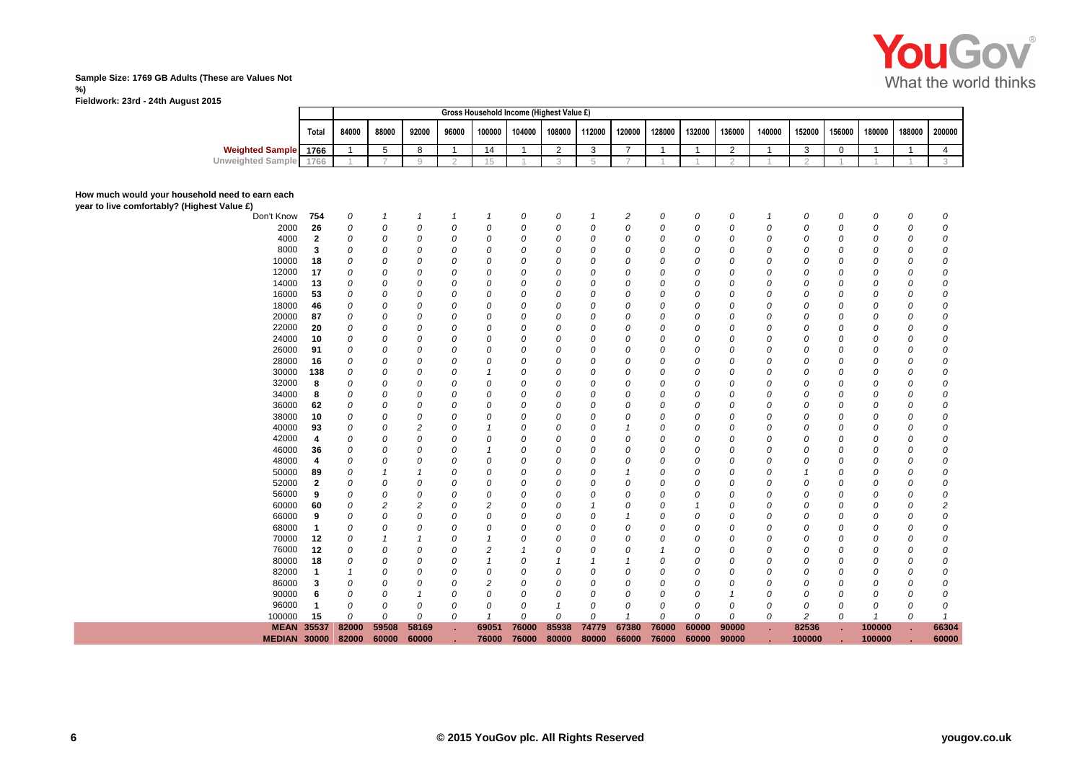

# **Sample Size: 1769 GB Adults (These are Values Not %)**

**Fieldwork: 23rd - 24th August 2015**

|                             |       |       |       |       |       | Gross Household Income (Highest Value £) |  |  |                                                              |        |        |        |  |                             |  |
|-----------------------------|-------|-------|-------|-------|-------|------------------------------------------|--|--|--------------------------------------------------------------|--------|--------|--------|--|-----------------------------|--|
|                             | Total | 84000 | 88000 | 92000 | 96000 |                                          |  |  | 100000   104000   108000   112000   120000   128000   132000 | 136000 | 140000 | 152000 |  | 156000 180000 188000 200000 |  |
| <b>Weighted Sample</b> 1766 |       |       |       |       |       | 14                                       |  |  |                                                              |        |        |        |  |                             |  |
| Unweighted Sample 1766      |       |       |       |       |       |                                          |  |  |                                                              |        |        |        |  |                             |  |
|                             |       |       |       |       |       |                                          |  |  |                                                              |        |        |        |  |                             |  |

## **How much would your household need to earn each**

**year to live comfort** 

|                           | <b>MEAN 35537</b><br><b>MEDIAN 30000</b> |     | 82000<br>82000 | 59508<br>60000 | 58169<br>60000 |   | 69051<br>76000 | 76000<br>76000 | 85938<br>80000 | 74779<br>80000 | 67380<br>66000   | 76000<br>76000 | 60000<br>60000 | 90000<br>90000 |    | 82536<br>100000 |   | 100000<br>100000 |   | 66304<br>60000 |
|---------------------------|------------------------------------------|-----|----------------|----------------|----------------|---|----------------|----------------|----------------|----------------|------------------|----------------|----------------|----------------|----|-----------------|---|------------------|---|----------------|
|                           | 100000                                   | 15  | $\Omega$       | 0              | 0              | 0 |                | 0              | 0              | 0              |                  | 0              | 0              | 0              | 0  | 2               | 0 |                  | 0 |                |
|                           | 96000                                    |     | 0              | 0              | 0              | 0 | 0              | 0              |                | 0              | 0                | 0              | 0              | 0              | 0  | 0               | 0 | 0                | 0 |                |
|                           | 90000                                    | 6   | 0              | 0              | 1              | 0 | $\Omega$       | 0              | 0              | 0              | 0                | 0              | 0              |                | Ω  | 0               | 0 | 0                | 0 | $\Omega$       |
|                           | 86000                                    | 3   | 0              | 0              | 0              | 0 | $\overline{2}$ | 0              | 0              | G              | 0                | 0              | 0              | 0              | Ω  | 0               | 0 | 0                | 0 | $\Omega$       |
|                           | 82000                                    |     |                | 0              | 0              | 0 | $\Omega$       | 0              | 0              | C              | 0                | 0              | 0              | 0              | Ω  | 0               | 0 | 0                | 0 | $\Omega$       |
|                           | 80000                                    | 18  |                | 0              | 0              | 0 |                |                |                |                |                  |                |                | 0              | C  |                 | 0 | 0                | 0 | $\theta$       |
|                           | 76000                                    | 12  | $\Omega$       | 0              | 0              | 0 | 2              |                | 0              | C              | 0                |                | 0              | 0              |    | 0               | 0 | 0                | 0 | $\Omega$       |
|                           | 70000                                    | 12  | 0              |                | -1             | 0 |                | 0              | 0              | C              | $\Omega$         | 0              | 0              | 0              | Ω  | 0               | 0 | 0                | 0 | $\Omega$       |
|                           | 68000                                    | 1   | 0              | 0              | 0              | 0 | $\Omega$       | O              | 0              | C              | 0                | $\Omega$       | Ω              | 0              | Ω  | 0               | 0 | $\Omega$         | 0 | $\Omega$       |
|                           | 66000                                    | 9   |                | 0              | 0              | Ω | 0              | 0              | 0              | C              |                  | 0              | 0              | 0              | C  | 0               | 0 | 0                | 0 | $\Omega$       |
|                           | 60000                                    | 60  | 0              | 2              | 2              | Ω | 2              | 0              | 0              |                | 0                | 0              |                | 0              | Ω  | 0               | 0 | 0                | 0 | 2              |
|                           | 56000                                    | 9   | $\Omega$       | 0              | 0              | Ω | 0              | $\Omega$       | 0              | C              | 0                | 0              | O              | 0              | Ω  | $\Omega$        | 0 | 0                | 0 | $\Omega$       |
|                           | 52000                                    | 2   |                | 0              | 0              | Ω | $\Omega$       | $\Omega$       | 0              | C              | 0                | $\Omega$       | Ω              | 0              | Ω  |                 | 0 | 0                | 0 | $\Omega$       |
|                           | 50000                                    | 89  |                |                |                | 0 | 0              | 0              | 0              | C              |                  |                |                | 0              |    |                 | 0 | 0                | 0 | $\Omega$       |
|                           | 48000                                    | 4   | 0              | 0              | 0              | 0 | 0              | $\Omega$       | 0              | 0              | 0                | 0              | 0              | 0              | Ω  |                 | 0 | 0                | 0 | 0              |
|                           | 46000                                    | 36  | 0              | 0              | 0              | 0 |                | $\Omega$       | 0              | 0              | 0                | 0              | Ω              | 0              | Ω  | $\Omega$        | 0 | 0                | 0 | $\Omega$       |
|                           | 42000                                    | 4   | $\Omega$       | 0              | 0              | 0 |                | 0              | 0              | C              | 0                | $\Omega$       | 0              | 0              | Ω  | 0               | 0 | 0                | 0 | $\Omega$       |
|                           | 40000                                    | 93  |                | 0              | 2              | 0 |                | 0              | 0              | C              |                  |                | 0              | 0              |    | 0               | 0 | 0                | 0 | $\Omega$       |
|                           | 38000                                    | 10  | 0              | 0              | 0              | 0 | $\Omega$       | 0              | 0              | 0              | 0                | 0              | 0              | 0              | Ω  | $\Omega$        | 0 | 0                | 0 | $\Omega$       |
|                           | 36000                                    | 62  | 0              | 0              | 0              | 0 | 0              | 0              | 0              | C              | 0                | 0              | 0              | 0              | Ω  | 0               | 0 | 0                | 0 | $\Omega$       |
|                           | 34000                                    | 8   |                | 0              | 0              | 0 | $\Omega$       | 0              | 0              | C              | 0                |                | 0              | 0              | Ω  |                 | 0 | 0                | 0 | $\Omega$       |
|                           | 32000                                    | 8   |                | 0              | 0              | Ω | $\Omega$       | 0              | 0              | C              | 0                |                | 0              | 0              | ſ. |                 | 0 | 0                | 0 | $\Omega$       |
|                           | 30000                                    | 138 | 0              | 0              | 0              | 0 |                | 0              | 0              | C              | 0                | 0              | 0              | 0              |    | 0               | 0 | 0                | 0 | 0              |
|                           | 28000                                    | 16  | 0              | 0              | 0              | 0 | 0              | 0              | 0              | C              | 0                | 0              | 0              | 0              | Ω  | 0               | 0 | 0                | 0 | $\Omega$       |
|                           | 26000                                    | 91  | 0              | 0              | 0              | 0 | $\Omega$       | 0              | 0              | 0              | 0                | 0              | 0              | 0              | Ω  | 0               | 0 | 0                | 0 | $\Omega$       |
|                           | 24000                                    | 10  | 0              | 0              | 0              | 0 | 0              | 0              | 0              | 0              | 0                | 0              | 0              | 0              | C  | 0               | 0 | 0                | 0 | $\Omega$       |
|                           | 22000                                    | 20  | 0              | 0              | 0              | Ω | 0              | 0              | 0              | 0              | 0                | 0              | 0              | 0              | C  | 0               | 0 | 0                | 0 | $\Omega$       |
|                           | 20000                                    | 87  | 0              | 0              | 0              | Ω | $\Omega$       | 0              | 0              | 0              | 0                | 0              | 0              | 0              | Ω  | 0               | 0 | 0                | 0 | $\Omega$       |
|                           | 18000                                    | 46  | 0              | 0              | 0              | Ω | $\Omega$       | $\Omega$       | 0              | C              | 0                | $\Omega$       | Ω              | 0              | Ω  |                 | 0 | 0                | 0 | $\Omega$       |
|                           | 16000                                    | 53  |                | 0              | 0              | Ω | 0              | 0              | 0              | C              | $\Omega$         | 0              |                | 0              | C  |                 | 0 | 0                | 0 | $\Omega$       |
|                           | 14000                                    | 13  | 0              | 0              | 0              | 0 | 0              | 0              | 0              | C              | 0                | 0              | 0              | 0              | C  | 0               | 0 | 0                | 0 | 0              |
|                           | 12000                                    | 17  | 0              | 0              | 0              | 0 | $\Omega$       | $\Omega$       | 0              | C              | 0                | 0              | O              | 0              | Ω  | 0               | 0 | 0                | 0 | $\Omega$       |
|                           | 10000                                    | 18  | $\Omega$       | 0              | 0              | 0 | $\Omega$       | $\Omega$       | 0              | C              | $\Omega$         | O              | Ω              | 0              | Ω  | $\Omega$        | 0 | 0                | 0 | $\Omega$       |
|                           | 8000                                     | 3   | 0              | 0              | 0              | 0 | 0              | 0              | 0              | 0              | 0                | 0              | 0              | 0              | C  | 0               | 0 | 0                | 0 | $\Omega$       |
|                           | 4000                                     | 2   | 0              | 0              | 0              | 0 | 0              | 0              | 0              | 0              | 0                | 0              | 0              | 0              | Ω  | 0               | 0 | 0                | 0 | 0              |
|                           | 2000                                     | 26  | 0              | 0              | 0              | 0 | $\Omega$       | 0              | 0              | 0              | 0                | $\Omega$       | 0              | 0              | 0  | 0               | 0 | 0                | 0 | $\Omega$       |
|                           | Don't Know                               | 754 | 0              | $\mathbf{1}$   | 1              | 1 | $\overline{1}$ | 0              | 0              | $\mathcal I$   | $\boldsymbol{2}$ | 0              | 0              | 0              |    | 0               | 0 | 0                | 0 | 0              |
| rtably? (Highest Value £) |                                          |     |                |                |                |   |                |                |                |                |                  |                |                |                |    |                 |   |                  |   |                |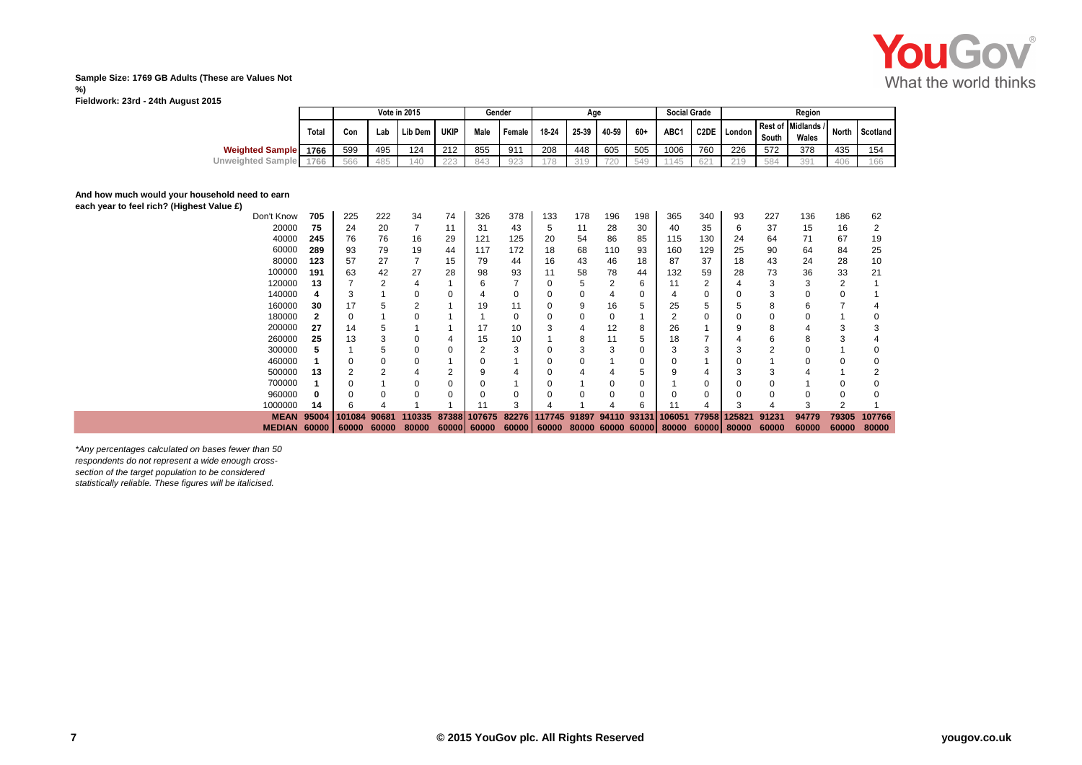

### **Sample Size: 1769 GB Adults (These are Values Not %)**

**Fieldwork: 23rd - 24th August 2015**

|                        |       |     |     | <b>Vote in 2015</b> |             | Gender |        |       | Age   |       |     | <b>Social Grade</b> |      |            |       | Reaion                            |                 |          |
|------------------------|-------|-----|-----|---------------------|-------------|--------|--------|-------|-------|-------|-----|---------------------|------|------------|-------|-----------------------------------|-----------------|----------|
|                        | Total | Con | Lab | Lib Dem             | <b>UKIP</b> | Male   | Female | 18-24 | 25-39 | 40-59 | 60+ | ABC1                | C2DE | I London I | South | Rest of Midlands / North<br>Wales |                 | Scotland |
| <b>Weighted Sample</b> | 1766  | 599 | 495 | 124                 | 212         | 855    | 91'    | 208   | 448   | 605   | 505 | 1006                | 760  | 226        | 572   | 378                               | 435             | 154      |
| Unweighted Sample      | 1766  | 566 | 485 | 140                 | 223         | 843    | 923    | 70    | 24C   | 720   | 549 | 4A5                 | 621  | 210        | 584   | 391                               | 40 <sup>o</sup> | 166      |

## **And how much would your household need to earn**

**each year to feel rich? (Highest Value £)**

|                  | <b>MEAN</b><br><b>MEDIAN</b> | 95004<br>60000 | 01084<br>60000 | 90681<br>60000 | 110335<br>80000 | 87388<br>60000 | 107675<br>60000 | 82276<br>60000 | 117745<br>60000 | 91897 | 94110 | 93131<br>80000 60000 60000 | 06051<br>80000 | 779581 | 25821<br>60000 80000 | 91231<br>60000 | 94779<br>60000 | 79305<br>60000 | 107766<br>80000 |
|------------------|------------------------------|----------------|----------------|----------------|-----------------|----------------|-----------------|----------------|-----------------|-------|-------|----------------------------|----------------|--------|----------------------|----------------|----------------|----------------|-----------------|
|                  | 1000000                      | 14             |                |                |                 |                | 11              | 3              |                 |       |       | 6                          | 11             | 4      |                      |                | 3              |                |                 |
|                  | 960000                       | 0              |                | ŋ              | 0               | $\mathbf 0$    |                 | $\Omega$       |                 | O     |       | 0                          |                | 0      |                      |                | ი              |                |                 |
|                  | 700000                       |                |                |                | 0               | 0              |                 |                |                 |       |       | 0                          |                | 0      |                      |                |                |                |                 |
|                  | 500000                       | 13             |                |                | 4               | 2              |                 |                |                 |       |       | 5                          | 9              |        |                      |                |                |                |                 |
|                  | 460000                       |                |                |                | 0               |                |                 |                |                 | U     |       | 0                          |                |        |                      |                |                |                |                 |
|                  | 300000                       | 5              |                |                | 0               | 0              |                 | 3              |                 | 3     | з     | 0                          | 3              | 3      |                      | っ              |                |                |                 |
|                  | 260000                       | 25             | 13             |                | 0               | 4              | 15              | 10             |                 | 8     | 11    | 5                          | 18             |        |                      | b              | 8              | З              |                 |
|                  | 200000                       | 27             | 14             |                |                 |                | 17              | 10             |                 | 4     | 12    | 8                          | 26             |        |                      | 8              |                | З              |                 |
|                  | 180000                       | 2              |                |                | 0               |                |                 | 0              |                 | 0     |       |                            |                | 0      |                      |                |                |                |                 |
|                  | 160000                       | 30             | 17             |                | $\overline{2}$  |                | 19              | 11             |                 | 9     | 16    | 5                          | 25             | 5      |                      | 8              | 6              |                |                 |
|                  | 140000                       | 4              |                |                | $\Omega$        | $\Omega$       |                 |                |                 | 0     |       | 0                          |                | 0      |                      | 3              |                |                |                 |
|                  | 120000                       | 13             |                |                | 4               |                |                 |                |                 | 5     |       | 6                          | 11             | 2      |                      | 3              |                |                |                 |
|                  | 100000                       | 191            | 63             | 42             | 27              | 28             | 98              | 93             | 11              | 58    | 78    | 44                         | 132            | 59     | 28                   | 73             | 36             | 33             | 21              |
|                  | 80000                        | 123            | 57             | 27             |                 | 15             | 79              | 44             | 16              | 43    | 46    | 18                         | 87             | 37     | 18                   | 43             | 24             | 28             | 10              |
|                  | 60000                        | 289            | 93             | 79             | 19              | 44             | 117             | 172            | 18              | 68    | 110   | 93                         | 160            | 129    | 25                   | 90             | 64             | 84             | 25              |
|                  | 40000                        | 245            | 76             | 76             | 16              | 29             | 121             | 125            | 20              | 54    | 86    | 85                         | 115            | 130    | 24                   | 64             | 71             | 67             | 19              |
|                  | 20000                        | 75             | 24             | 20             |                 | 11             | 31              | 43             | 5               | 11    | 28    | 30                         | 40             | 35     | 6                    | 37             | 15             | 16             |                 |
| lignest value Ł) | Don't Know                   | 705            | 225            | 222            | 34              | 74             | 326             | 378            | 133             | 178   | 196   | 198                        | 365            | 340    | 93                   | 227            | 136            | 186            | 62              |

*\*Any percentages calculated on bases fewer than 50 respondents do not represent a wide enough crosssection of the target population to be considered statistically reliable. These figures will be italicised.*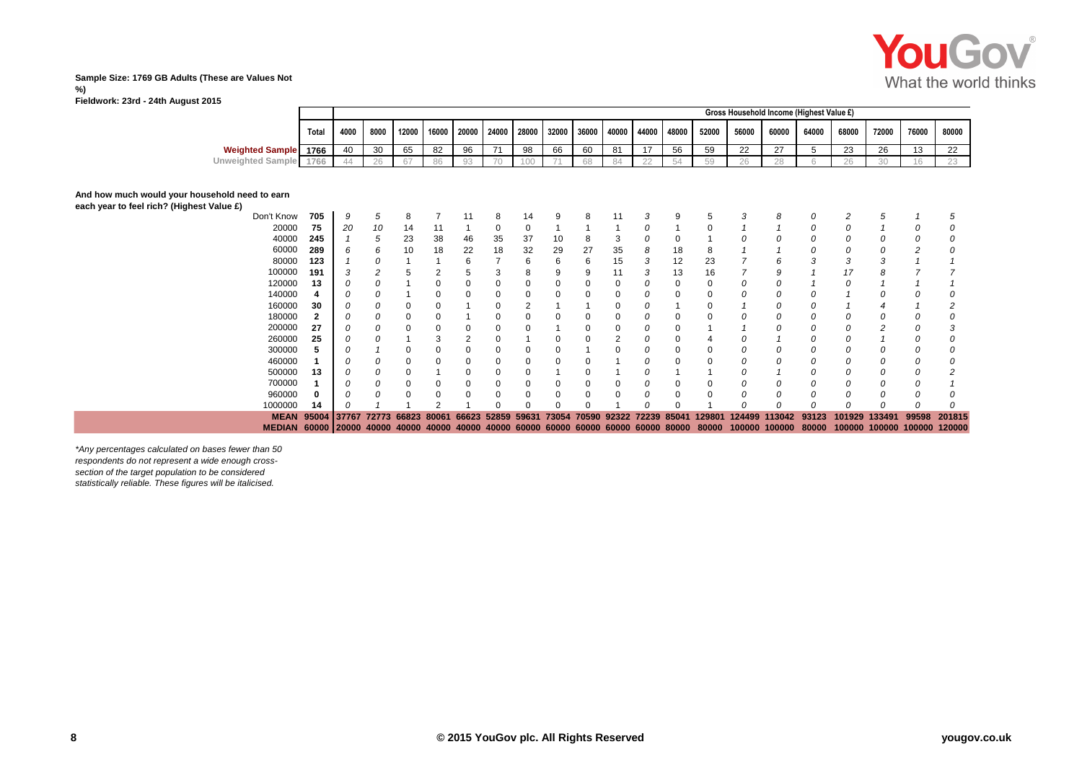

#### **Sample Size: 1769 GB Adults (These are Values Not %) Fieldwork: 23rd - 24th August 2015**

| 12000   16000   20000   24000   28000   32000   36000   40000   44000   48000   52000<br>68000<br>56000<br>60000<br>64000<br>72000<br>76000<br>80000<br>8000<br>4000<br>Total |  |  |  |  |  |  |  |  | Gross Household Income (Highest Value £) |  |  |
|-------------------------------------------------------------------------------------------------------------------------------------------------------------------------------|--|--|--|--|--|--|--|--|------------------------------------------|--|--|
|                                                                                                                                                                               |  |  |  |  |  |  |  |  |                                          |  |  |
| <b>Weighted Sample</b> 1766<br>66<br>65<br>60<br>81<br>$\overline{A}$<br>EG.<br>27<br>30<br>59<br>oc.<br>∠b<br>82<br>ں ا                                                      |  |  |  |  |  |  |  |  |                                          |  |  |
| $-0.001$<br>Unweighted Sample<br>28                                                                                                                                           |  |  |  |  |  |  |  |  |                                          |  |  |

## **And how much would your household need to earn**

| each year to feel rich? (Highest Value £) |  |  |  |  |
|-------------------------------------------|--|--|--|--|
|-------------------------------------------|--|--|--|--|

|                      | MEDIAN 60000 20000 40000 40000 40000 40000 |     |                   |    |       |       |       |          |       |       |    |                   |   |       | 40000 60000 60000 60000 60000 60000 80000 80000 |        | 100000 100000 | 80000 |        | 100000 100000 100000 120000 |       |        |
|----------------------|--------------------------------------------|-----|-------------------|----|-------|-------|-------|----------|-------|-------|----|-------------------|---|-------|-------------------------------------------------|--------|---------------|-------|--------|-----------------------------|-------|--------|
|                      | <b>MEAN</b>                                |     | 95004 37767 72773 |    | 66823 | 80061 | 66623 | 52859    | 59631 | 73054 |    | 70590 92322 72239 |   | 85041 | 129801                                          | 124499 | 113042        | 93123 | 101929 | 133491                      | 99598 | 201815 |
|                      | 1000000                                    | 14  |                   |    |       |       |       | $\Omega$ | O     |       |    |                   |   |       |                                                 |        |               | Ω     |        |                             |       |        |
|                      | 960000                                     |     |                   |    |       |       | 0     |          | O     |       |    |                   |   |       |                                                 |        |               | 0     |        |                             |       |        |
|                      | 700000                                     |     |                   |    |       |       | 0     |          | O     |       |    |                   |   |       |                                                 | 0      |               |       |        |                             |       |        |
|                      | 500000                                     | 13  |                   |    |       |       |       |          |       |       |    |                   |   |       |                                                 |        |               |       |        |                             |       |        |
|                      | 460000                                     |     |                   |    |       |       |       |          | O     |       |    |                   |   |       |                                                 |        |               |       |        |                             |       |        |
|                      | 300000                                     |     |                   |    |       |       |       |          |       |       |    |                   |   |       |                                                 |        |               |       |        |                             |       |        |
|                      | 260000                                     | 25  |                   |    |       |       | 2     |          |       |       |    |                   |   |       |                                                 |        |               |       |        |                             |       |        |
|                      | 200000                                     | 27  |                   |    |       |       |       |          |       |       |    |                   |   |       |                                                 |        |               |       |        |                             |       |        |
|                      | 180000                                     |     |                   |    |       |       |       |          |       |       |    |                   |   |       |                                                 |        |               |       |        |                             |       |        |
|                      | 160000                                     | 30  |                   |    |       |       |       |          |       |       |    |                   |   |       |                                                 |        |               |       |        |                             |       |        |
|                      | 140000                                     |     |                   |    |       |       | 0     |          |       |       |    |                   |   |       |                                                 |        |               |       |        |                             |       |        |
|                      | 120000                                     | 13  |                   |    |       |       | 0     |          |       |       |    |                   |   |       |                                                 | 0      |               |       |        |                             |       |        |
|                      | 100000                                     | 191 |                   |    |       |       | :5    |          | 8     |       |    | 11                |   | 13    | 16                                              |        |               |       |        |                             |       |        |
|                      | 80000                                      | 123 |                   |    |       |       | 6     |          | 6     | n     | 6  | 15                | 3 | 12    | 23                                              |        |               | 3     |        |                             |       |        |
|                      | 60000                                      | 289 | 6                 | 6  | 10    | 18    | 22    | 18       | 32    | 29    | 27 | 35                |   | 18    |                                                 |        |               |       |        |                             |       |        |
|                      | 40000                                      | 245 |                   | 5  | 23    | 38    | 46    | 35       | 37    | 10    |    |                   |   |       |                                                 |        |               |       |        |                             |       |        |
|                      | 20000                                      | 75  | 20                | 10 | 14    |       |       |          | 0     |       |    |                   |   |       |                                                 |        |               |       |        |                             |       |        |
|                      | Don't Know                                 | 705 | 9                 | G  | 8     |       | 11    | 8        | 14    |       |    | 11                |   |       |                                                 |        |               |       |        |                             |       |        |
| h? (Highest Value £) |                                            |     |                   |    |       |       |       |          |       |       |    |                   |   |       |                                                 |        |               |       |        |                             |       |        |

*\*Any percentages calculated on bases fewer than 50 respondents do not represent a wide enough crosssection of the target population to be considered statistically reliable. These figures will be italicised.*